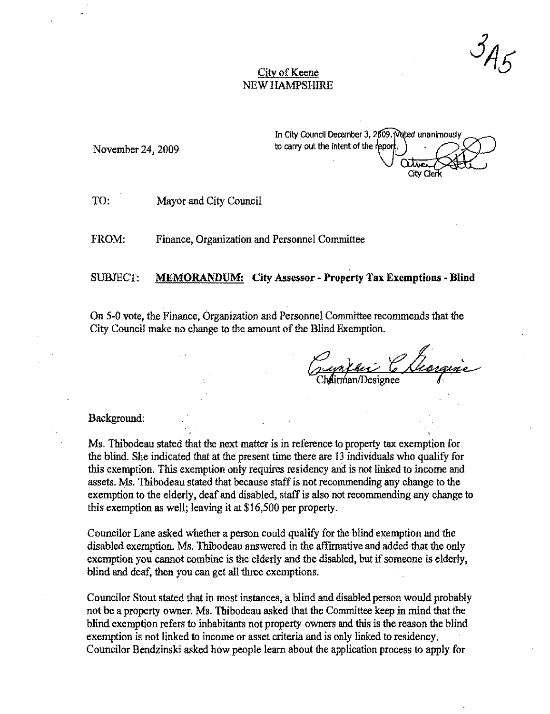## City of Keene NEW HAMPSHIRE

November 24, 2009

In City Council December 3, 2009. Voted unanimously to carry out the intent of the report. City Cler

TO: Mayor and City Council

FROM: Finance, Organization and Personnel Committee

## SUBJECT: MEMORANDUM: City Assessor - Property Tax Exemptions - **Blind**

On 5-0 vote, the Finance, Organization and Personnel Committee recommends that the City Council make no change to the amount of the Blind Exemption.

Eugenfeu Chargine

## Background:

Ms. Thibodeau stated that the next matter is in reference to property tax exemption for the blind. She indicated that at the present time there are 13 individuals who qualify for this exemption. This exemption only requires residency and is not linked to income and assets. Ms. Thibodeau stated that because staff is not reconunending any change to the exemption to the elderly, deaf and disabled, staff is also not recommending any change to this exemption as well; leaving it at \$16,500 per property.

Councilor Lane asked whether a person could qualify for the blind exemption and the disabled exemption. Ms. Thibodeau answered in the affirmative and added that the only exemption you cannot combine is the elderly and the disabled, but if someone is elderly. blind and deaf, then you can get all three exemptions.

Councilor Stout stated that in most instances, a blind and disabled person would probably not be a property owner. Ms. Thibodeau asked that the Committee keep in mind that the blind exemption refers to inhabitants not property owners and this is the reason the blind exemption is not linked to income or asset criteria and is only linked to residency. Councilor Bendzinski asked how people learn about the application process to apply for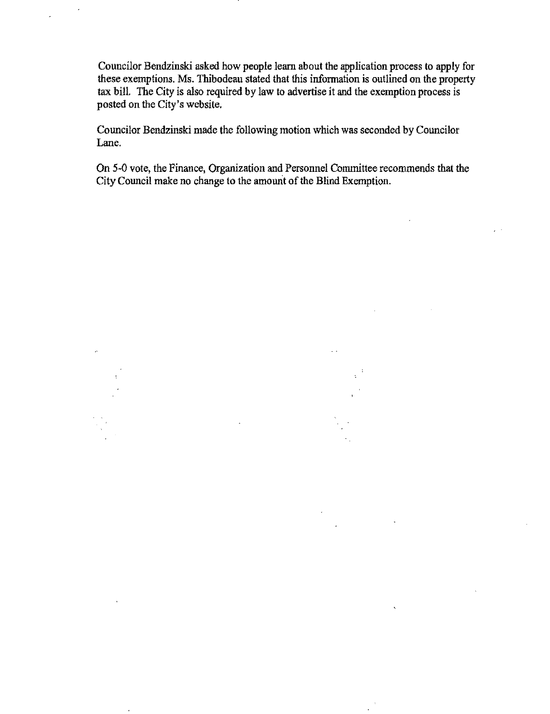Councilor Bendzinski asked how people learn about the application process to apply for these exemptions. Ms. Thibodeau stated that this information is outlined on the property tax bill. The City is also required by law to advertise it and the exemption process is posted on the City's website.

Councilor Bendzinski made the following motion which was seconded by Councilor Lane.

On 5·0 vote, the Finance, Organization and Personnel Committee recommends that the City Council make no change to the amount of the Blind Exemption.